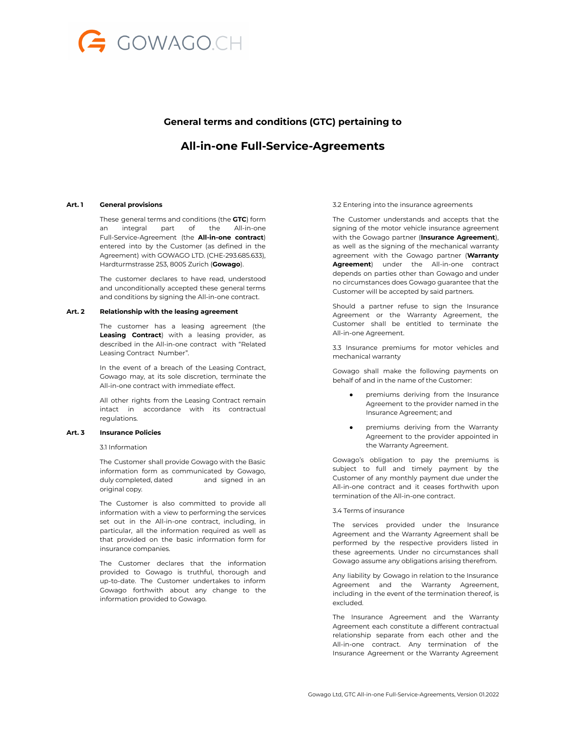

# **General terms and conditions (GTC) pertaining to**

# **All-in-one Full-Service-Agreements**

### **Art. 1 General provisions**

These general terms and conditions (the **GTC**) form an integral part of the All-in-one Full-Service-Agreement (the **All-in-one contract**) entered into by the Customer (as defined in the Agreement) with GOWAGO LTD. (CHE-293.685.633), Hardturmstrasse 253, 8005 Zurich (**Gowago**).

The customer declares to have read, understood and unconditionally accepted these general terms and conditions by signing the All-in-one contract.

#### **Art. 2 Relationship with the leasing agreement**

The customer has a leasing agreement (the **Leasing Contract**) with a leasing provider, as described in the All-in-one contract with "Related Leasing Contract Number".

In the event of a breach of the Leasing Contract, Gowago may, at its sole discretion, terminate the All-in-one contract with immediate effect.

All other rights from the Leasing Contract remain intact in accordance with its contractual regulations.

## **Art. 3 Insurance Policies**

3.1 Information

The Customer shall provide Gowago with the Basic information form as communicated by Gowago, duly completed, dated and signed in an original copy.

The Customer is also committed to provide all information with a view to performing the services set out in the All-in-one contract, including, in particular, all the information required as well as that provided on the basic information form for insurance companies.

The Customer declares that the information provided to Gowago is truthful, thorough and up-to-date. The Customer undertakes to inform Gowago forthwith about any change to the information provided to Gowago.

3.2 Entering into the insurance agreements

The Customer understands and accepts that the signing of the motor vehicle insurance agreement with the Gowago partner (**Insurance Agreement**), as well as the signing of the mechanical warranty agreement with the Gowago partner (**Warranty Agreement**) under the All-in-one contract depends on parties other than Gowago and under no circumstances does Gowago guarantee that the Customer will be accepted by said partners.

Should a partner refuse to sign the Insurance Agreement or the Warranty Agreement, the Customer shall be entitled to terminate the All-in-one Agreement.

3.3 Insurance premiums for motor vehicles and mechanical warranty

Gowago shall make the following payments on behalf of and in the name of the Customer:

- premiums deriving from the Insurance Agreement to the provider named in the Insurance Agreement; and
- premiums deriving from the Warranty Agreement to the provider appointed in the Warranty Agreement.

Gowago's obligation to pay the premiums is subject to full and timely payment by the Customer of any monthly payment due under the All-in-one contract and it ceases forthwith upon termination of the All-in-one contract.

## 3.4 Terms of insurance

The services provided under the Insurance Agreement and the Warranty Agreement shall be performed by the respective providers listed in these agreements. Under no circumstances shall Gowago assume any obligations arising therefrom.

Any liability by Gowago in relation to the Insurance Agreement and the Warranty Agreement, including in the event of the termination thereof, is excluded.

The Insurance Agreement and the Warranty Agreement each constitute a different contractual relationship separate from each other and the All-in-one contract. Any termination of the Insurance Agreement or the Warranty Agreement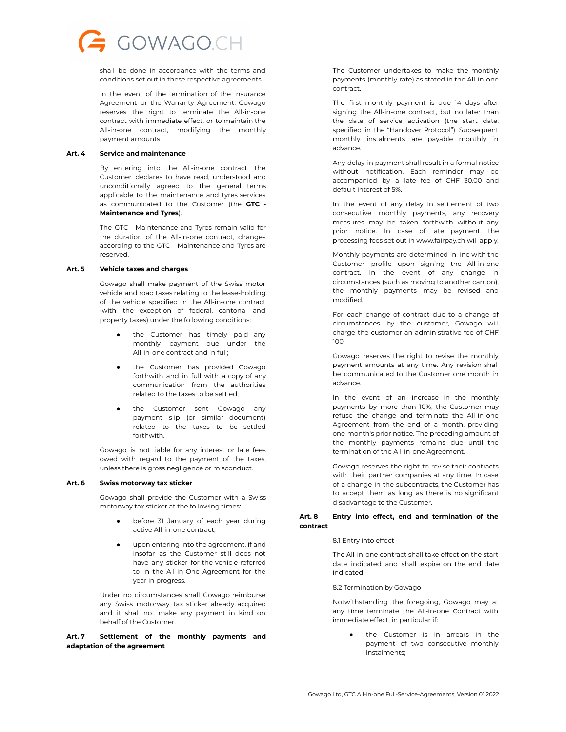

shall be done in accordance with the terms and conditions set out in these respective agreements.

In the event of the termination of the Insurance Agreement or the Warranty Agreement, Gowago reserves the right to terminate the All-in-one contract with immediate effect, or to maintain the All-in-one contract, modifying the monthly payment amounts.

#### **Art. 4 Service and maintenance**

By entering into the All-in-one contract, the Customer declares to have read, understood and unconditionally agreed to the general terms applicable to the maintenance and tyres services as communicated to the Customer (the **GTC - Maintenance and Tyres**).

The GTC - Maintenance and Tyres remain valid for the duration of the All-in-one contract, changes according to the GTC - Maintenance and Tyres are reserved.

#### **Art. 5 Vehicle taxes and charges**

Gowago shall make payment of the Swiss motor vehicle and road taxes relating to the lease-holding of the vehicle specified in the All-in-one contract (with the exception of federal, cantonal and property taxes) under the following conditions:

- the Customer has timely paid any monthly payment due under the All-in-one contract and in full;
- the Customer has provided Gowago forthwith and in full with a copy of any communication from the authorities related to the taxes to be settled;
- the Customer sent Gowago any payment slip (or similar document) related to the taxes to be settled forthwith.

Gowago is not liable for any interest or late fees owed with regard to the payment of the taxes, unless there is gross negligence or misconduct.

#### **Art. 6 Swiss motorway tax sticker**

Gowago shall provide the Customer with a Swiss motorway tax sticker at the following times:

- before 31 January of each year during active All-in-one contract;
- upon entering into the agreement, if and insofar as the Customer still does not have any sticker for the vehicle referred to in the All-in-One Agreement for the year in progress.

Under no circumstances shall Gowago reimburse any Swiss motorway tax sticker already acquired and it shall not make any payment in kind on behalf of the Customer.

# **Art. 7 Settlement of the monthly payments and adaptation of the agreement**

The Customer undertakes to make the monthly payments (monthly rate) as stated in the All-in-one contract.

The first monthly payment is due 14 days after signing the All-in-one contract, but no later than the date of service activation (the start date; specified in the "Handover Protocol"). Subsequent monthly instalments are payable monthly in advance.

Any delay in payment shall result in a formal notice without notification. Each reminder may be accompanied by a late fee of CHF 30.00 and default interest of 5%.

In the event of any delay in settlement of two consecutive monthly payments, any recovery measures may be taken forthwith without any prior notice. In case of late payment, the processing fees set out in www.fairpay.ch will apply.

Monthly payments are determined in line with the Customer profile upon signing the All-in-one contract. In the event of any change in circumstances (such as moving to another canton), the monthly payments may be revised and modified.

For each change of contract due to a change of circumstances by the customer, Gowago will charge the customer an administrative fee of CHF 100.

Gowago reserves the right to revise the monthly payment amounts at any time. Any revision shall be communicated to the Customer one month in advance.

In the event of an increase in the monthly payments by more than 10%, the Customer may refuse the change and terminate the All-in-one Agreement from the end of a month, providing one month's prior notice. The preceding amount of the monthly payments remains due until the termination of the All-in-one Agreement.

Gowago reserves the right to revise their contracts with their partner companies at any time. In case of a change in the subcontracts, the Customer has to accept them as long as there is no significant disadvantage to the Customer.

## **Art. 8 Entry into effect, end and termination of the contract**

#### 8.1 Entry into effect

The All-in-one contract shall take effect on the start date indicated and shall expire on the end date indicated.

#### 8.2 Termination by Gowago

Notwithstanding the foregoing, Gowago may at any time terminate the All-in-one Contract with immediate effect, in particular if:

> the Customer is in arrears in the payment of two consecutive monthly instalments;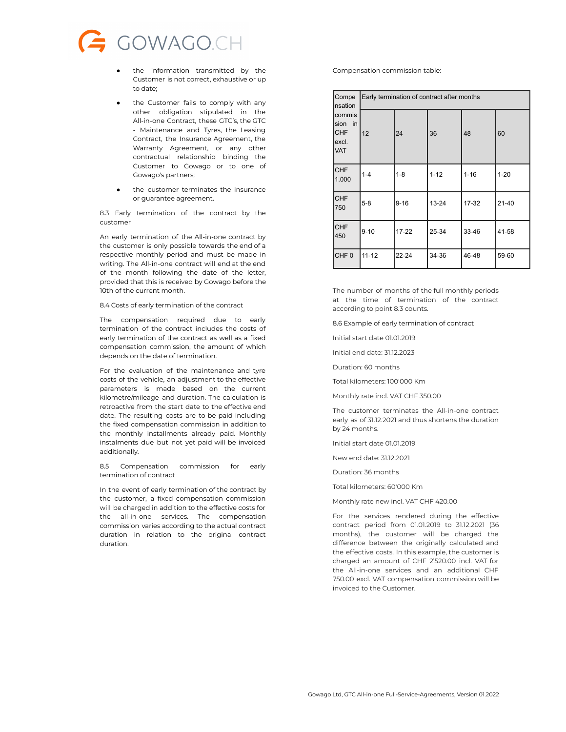

- the information transmitted by the Customer is not correct, exhaustive or up to date;
- the Customer fails to comply with any other obligation stipulated in the All-in-one Contract, these GTC's, the GTC - Maintenance and Tyres, the Leasing Contract, the Insurance Agreement, the Warranty Agreement, or any other contractual relationship binding the Customer to Gowago or to one of Gowago's partners;
- the customer terminates the insurance or guarantee agreement.

8.3 Early termination of the contract by the customer

An early termination of the All-in-one contract by the customer is only possible towards the end of a respective monthly period and must be made in writing. The All-in-one contract will end at the end of the month following the date of the letter, provided that this is received by Gowago before the 10th of the current month.

8.4 Costs of early termination of the contract

The compensation required due to early termination of the contract includes the costs of early termination of the contract as well as a fixed compensation commission, the amount of which depends on the date of termination.

For the evaluation of the maintenance and tyre costs of the vehicle, an adjustment to the effective parameters is made based on the current kilometre/mileage and duration. The calculation is retroactive from the start date to the effective end date. The resulting costs are to be paid including the fixed compensation commission in addition to the monthly installments already paid. Monthly instalments due but not yet paid will be invoiced additionally.

8.5 Compensation commission for early termination of contract

In the event of early termination of the contract by the customer, a fixed compensation commission will be charged in addition to the effective costs for the all-in-one services. The compensation commission varies according to the actual contract duration in relation to the original contract duration.

Compensation commission table:

| Compe<br>nsation<br>commis<br>sion in<br><b>CHF</b><br>excl.<br><b>VAT</b> | Early termination of contract after months |          |           |          |           |
|----------------------------------------------------------------------------|--------------------------------------------|----------|-----------|----------|-----------|
|                                                                            | 12                                         | 24       | 36        | 48       | 60        |
| <b>CHF</b><br>1.000                                                        | $1 - 4$                                    | $1 - 8$  | $1 - 12$  | $1 - 16$ | $1 - 20$  |
| <b>CHF</b><br>750                                                          | $5-8$                                      | $9 - 16$ | $13 - 24$ | 17-32    | $21 - 40$ |
| <b>CHF</b><br>450                                                          | $9 - 10$                                   | 17-22    | 25-34     | 33-46    | 41-58     |
| CHF <sub>0</sub>                                                           | $11 - 12$                                  | 22-24    | 34-36     | 46-48    | 59-60     |

The number of months of the full monthly periods at the time of termination of the contract according to point 8.3 counts.

8.6 Example of early termination of contract

Initial start date 01.01.2019

Initial end date: 31.12.2023

Duration: 60 months

Total kilometers: 100'000 Km

Monthly rate incl. VAT CHF 350.00

The customer terminates the All-in-one contract early as of 31.12.2021 and thus shortens the duration by 24 months.

Initial start date 01.01.2019

New end date: 31.12.2021

Duration: 36 months

Total kilometers: 60'000 Km

Monthly rate new incl. VAT CHF 420.00

For the services rendered during the effective contract period from 01.01.2019 to 31.12.2021 (36 months), the customer will be charged the difference between the originally calculated and the effective costs. In this example, the customer is charged an amount of CHF 2'520.00 incl. VAT for the All-in-one services and an additional CHF 750.00 excl. VAT compensation commission will be invoiced to the Customer.